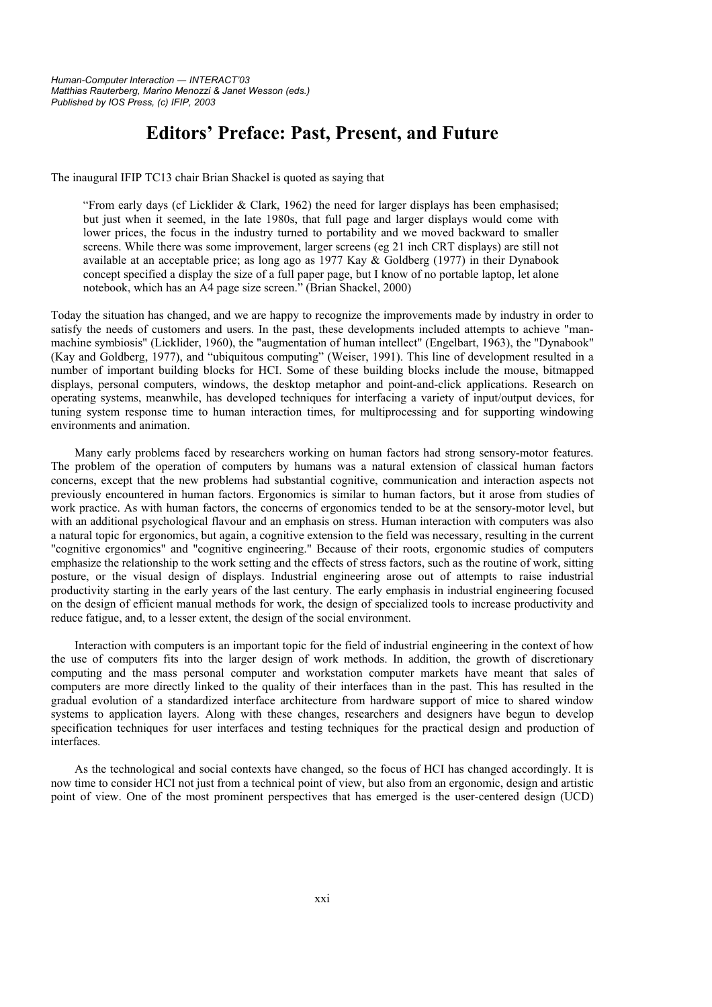## **Editors' Preface: Past, Present, and Future**

The inaugural IFIP TC13 chair Brian Shackel is quoted as saying that

"From early days (cf Licklider & Clark, 1962) the need for larger displays has been emphasised; but just when it seemed, in the late 1980s, that full page and larger displays would come with lower prices, the focus in the industry turned to portability and we moved backward to smaller screens. While there was some improvement, larger screens (eg 21 inch CRT displays) are still not available at an acceptable price; as long ago as 1977 Kay  $\&$  Goldberg (1977) in their Dynabook concept specified a display the size of a full paper page, but I know of no portable laptop, let alone notebook, which has an A4 page size screen." (Brian Shackel, 2000)

Today the situation has changed, and we are happy to recognize the improvements made by industry in order to satisfy the needs of customers and users. In the past, these developments included attempts to achieve "manmachine symbiosis" (Licklider, 1960), the "augmentation of human intellect" (Engelbart, 1963), the "Dynabook" (Kay and Goldberg, 1977), and "ubiquitous computing" (Weiser, 1991). This line of development resulted in a number of important building blocks for HCI. Some of these building blocks include the mouse, bitmapped displays, personal computers, windows, the desktop metaphor and point-and-click applications. Research on operating systems, meanwhile, has developed techniques for interfacing a variety of input/output devices, for tuning system response time to human interaction times, for multiprocessing and for supporting windowing environments and animation.

Many early problems faced by researchers working on human factors had strong sensory-motor features. The problem of the operation of computers by humans was a natural extension of classical human factors concerns, except that the new problems had substantial cognitive, communication and interaction aspects not previously encountered in human factors. Ergonomics is similar to human factors, but it arose from studies of work practice. As with human factors, the concerns of ergonomics tended to be at the sensory-motor level, but with an additional psychological flavour and an emphasis on stress. Human interaction with computers was also a natural topic for ergonomics, but again, a cognitive extension to the field was necessary, resulting in the current "cognitive ergonomics" and "cognitive engineering." Because of their roots, ergonomic studies of computers emphasize the relationship to the work setting and the effects of stress factors, such as the routine of work, sitting posture, or the visual design of displays. Industrial engineering arose out of attempts to raise industrial productivity starting in the early years of the last century. The early emphasis in industrial engineering focused on the design of efficient manual methods for work, the design of specialized tools to increase productivity and reduce fatigue, and, to a lesser extent, the design of the social environment.

Interaction with computers is an important topic for the field of industrial engineering in the context of how the use of computers fits into the larger design of work methods. In addition, the growth of discretionary computing and the mass personal computer and workstation computer markets have meant that sales of computers are more directly linked to the quality of their interfaces than in the past. This has resulted in the gradual evolution of a standardized interface architecture from hardware support of mice to shared window systems to application layers. Along with these changes, researchers and designers have begun to develop specification techniques for user interfaces and testing techniques for the practical design and production of interfaces.

As the technological and social contexts have changed, so the focus of HCI has changed accordingly. It is now time to consider HCI not just from a technical point of view, but also from an ergonomic, design and artistic point of view. One of the most prominent perspectives that has emerged is the user-centered design (UCD)